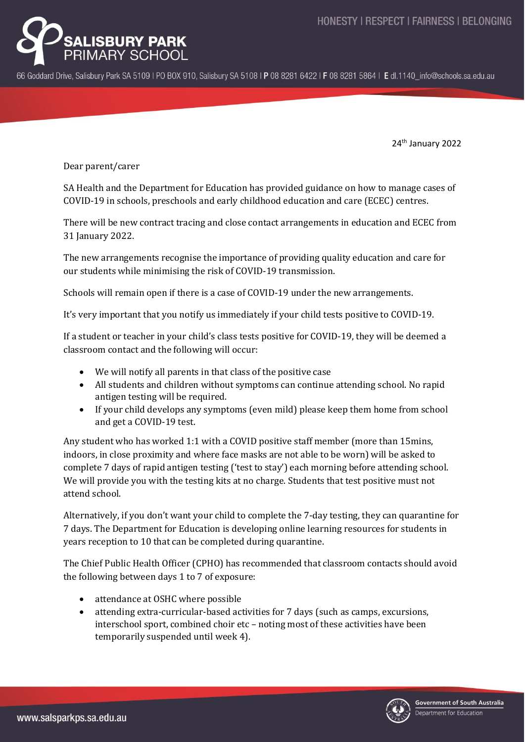

66 Goddard Drive, Salisbury Park SA 5109 | PO BOX 910, Salisbury SA 5108 | P 08 8281 6422 | F 08 8281 5864 | E dl.1140 info@schools.sa.edu.au

24th January 2022

Dear parent/carer

SA Health and the Department for Education has provided guidance on how to manage cases of COVID-19 in schools, preschools and early childhood education and care (ECEC) centres.

There will be new contract tracing and close contact arrangements in education and ECEC from 31 January 2022.

The new arrangements recognise the importance of providing quality education and care for our students while minimising the risk of COVID-19 transmission.

Schools will remain open if there is a case of COVID-19 under the new arrangements.

It's very important that you notify us immediately if your child tests positive to COVID-19.

If a student or teacher in your child's class tests positive for COVID-19, they will be deemed a classroom contact and the following will occur:

- We will notify all parents in that class of the positive case
- All students and children without symptoms can continue attending school. No rapid antigen testing will be required.
- If your child develops any symptoms (even mild) please keep them home from school and get a COVID-19 test.

Any student who has worked 1:1 with a COVID positive staff member (more than 15mins, indoors, in close proximity and where face masks are not able to be worn) will be asked to complete 7 days of rapid antigen testing ('test to stay') each morning before attending school. We will provide you with the testing kits at no charge. Students that test positive must not attend school.

Alternatively, if you don't want your child to complete the 7-day testing, they can quarantine for 7 days. The Department for Education is developing online learning resources for students in years reception to 10 that can be completed during quarantine.

The Chief Public Health Officer (CPHO) has recommended that classroom contacts should avoid the following between days 1 to 7 of exposure:

- attendance at OSHC where possible
- attending extra-curricular-based activities for 7 days (such as camps, excursions, interschool sport, combined choir etc – noting most of these activities have been temporarily suspended until week 4).